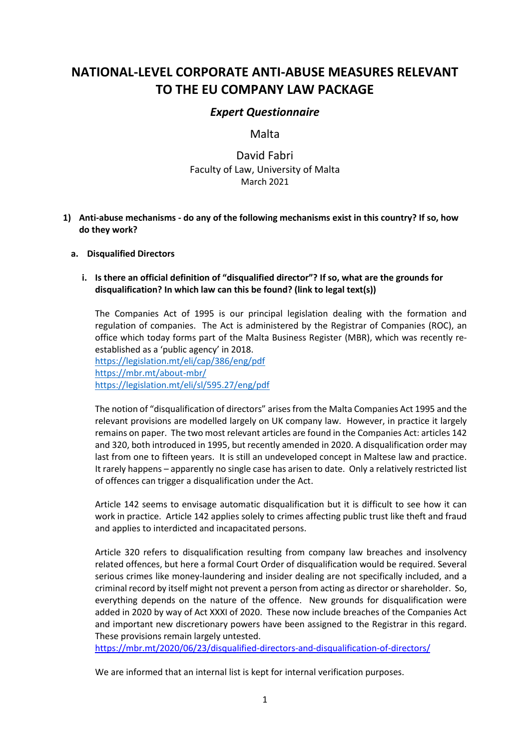# **NATIONAL-LEVEL CORPORATE ANTI-ABUSE MEASURES RELEVANT TO THE EU COMPANY LAW PACKAGE**

## *Expert Questionnaire*

## Malta

# David Fabri Faculty of Law, University of Malta March 2021

**1) Anti-abuse mechanisms - do any of the following mechanisms exist in this country? If so, how do they work?**

## **a. Disqualified Directors**

## **i. Is there an official definition of "disqualified director"? If so, what are the grounds for disqualification? In which law can this be found? (link to legal text(s))**

The Companies Act of 1995 is our principal legislation dealing with the formation and regulation of companies. The Act is administered by the Registrar of Companies (ROC), an office which today forms part of the Malta Business Register (MBR), which was recently reestablished as a 'public agency' in 2018.

<https://legislation.mt/eli/cap/386/eng/pdf> <https://mbr.mt/about-mbr/> <https://legislation.mt/eli/sl/595.27/eng/pdf>

The notion of "disqualification of directors" arises from the Malta Companies Act 1995 and the relevant provisions are modelled largely on UK company law. However, in practice it largely remains on paper. The two most relevant articles are found in the Companies Act: articles 142 and 320, both introduced in 1995, but recently amended in 2020. A disqualification order may last from one to fifteen years. It is still an undeveloped concept in Maltese law and practice. It rarely happens – apparently no single case has arisen to date. Only a relatively restricted list of offences can trigger a disqualification under the Act.

Article 142 seems to envisage automatic disqualification but it is difficult to see how it can work in practice. Article 142 applies solely to crimes affecting public trust like theft and fraud and applies to interdicted and incapacitated persons.

Article 320 refers to disqualification resulting from company law breaches and insolvency related offences, but here a formal Court Order of disqualification would be required. Several serious crimes like money-laundering and insider dealing are not specifically included, and a criminal record by itself might not prevent a person from acting as director or shareholder. So, everything depends on the nature of the offence. New grounds for disqualification were added in 2020 by way of Act XXXI of 2020. These now include breaches of the Companies Act and important new discretionary powers have been assigned to the Registrar in this regard. These provisions remain largely untested.

<https://mbr.mt/2020/06/23/disqualified-directors-and-disqualification-of-directors/>

We are informed that an internal list is kept for internal verification purposes.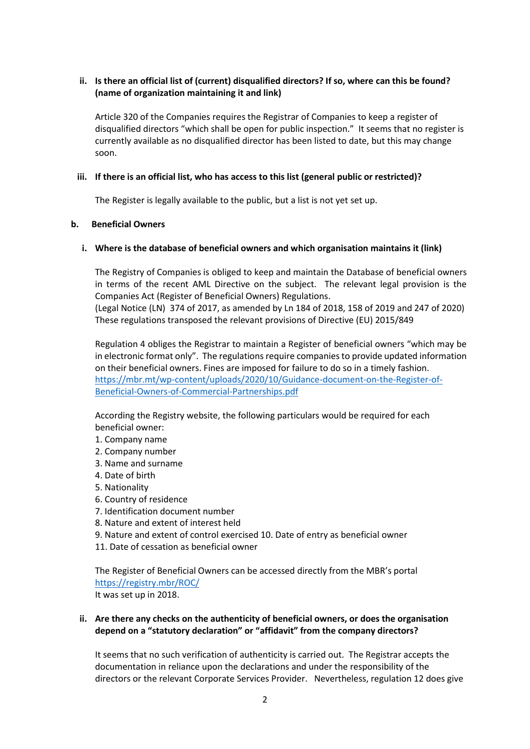## **ii. Is there an official list of (current) disqualified directors? If so, where can this be found? (name of organization maintaining it and link)**

Article 320 of the Companies requires the Registrar of Companies to keep a register of disqualified directors "which shall be open for public inspection." It seems that no register is currently available as no disqualified director has been listed to date, but this may change soon.

## **iii. If there is an official list, who has access to this list (general public or restricted)?**

The Register is legally available to the public, but a list is not yet set up.

#### **b. Beneficial Owners**

#### **i. Where is the database of beneficial owners and which organisation maintains it (link)**

The Registry of Companies is obliged to keep and maintain the Database of beneficial owners in terms of the recent AML Directive on the subject. The relevant legal provision is the Companies Act (Register of Beneficial Owners) Regulations.

(Legal Notice (LN) 374 of 2017, as amended by Ln 184 of 2018, 158 of 2019 and 247 of 2020) These regulations transposed the relevant provisions of Directive (EU) 2015/849

Regulation 4 obliges the Registrar to maintain a Register of beneficial owners "which may be in electronic format only". The regulations require companies to provide updated information on their beneficial owners. Fines are imposed for failure to do so in a timely fashion. [https://mbr.mt/wp-content/uploads/2020/10/Guidance-document-on-the-Register-of-](https://mbr.mt/wp-content/uploads/2020/10/Guidance-document-on-the-Register-of-Beneficial-Owners-of-Commercial-Partnerships.pdf)[Beneficial-Owners-of-Commercial-Partnerships.pdf](https://mbr.mt/wp-content/uploads/2020/10/Guidance-document-on-the-Register-of-Beneficial-Owners-of-Commercial-Partnerships.pdf)

According the Registry website, the following particulars would be required for each beneficial owner:

- 1. Company name
- 2. Company number
- 3. Name and surname
- 4. Date of birth
- 5. Nationality
- 6. Country of residence
- 7. Identification document number
- 8. Nature and extent of interest held
- 9. Nature and extent of control exercised 10. Date of entry as beneficial owner
- 11. Date of cessation as beneficial owner

The Register of Beneficial Owners can be accessed directly from the MBR's portal <https://registry.mbr/ROC/> It was set up in 2018.

## **ii. Are there any checks on the authenticity of beneficial owners, or does the organisation depend on a "statutory declaration" or "affidavit" from the company directors?**

It seems that no such verification of authenticity is carried out. The Registrar accepts the documentation in reliance upon the declarations and under the responsibility of the directors or the relevant Corporate Services Provider. Nevertheless, regulation 12 does give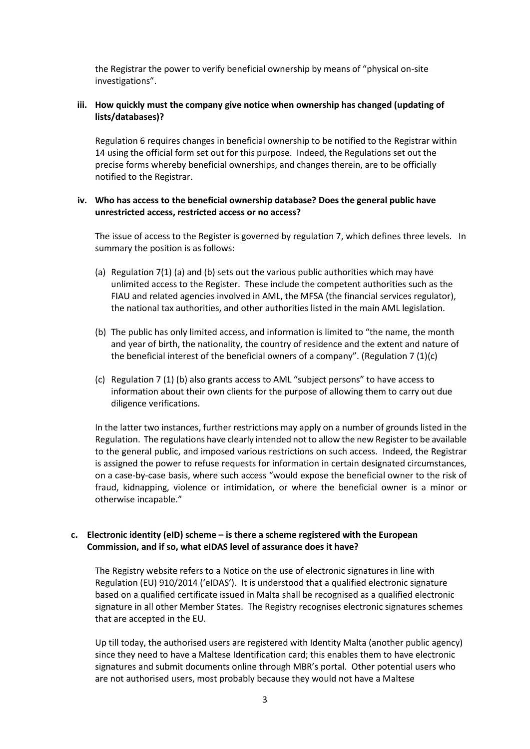the Registrar the power to verify beneficial ownership by means of "physical on-site investigations".

## **iii. How quickly must the company give notice when ownership has changed (updating of lists/databases)?**

Regulation 6 requires changes in beneficial ownership to be notified to the Registrar within 14 using the official form set out for this purpose. Indeed, the Regulations set out the precise forms whereby beneficial ownerships, and changes therein, are to be officially notified to the Registrar.

#### **iv. Who has access to the beneficial ownership database? Does the general public have unrestricted access, restricted access or no access?**

The issue of access to the Register is governed by regulation 7, which defines three levels. In summary the position is as follows:

- (a) Regulation 7(1) (a) and (b) sets out the various public authorities which may have unlimited access to the Register. These include the competent authorities such as the FIAU and related agencies involved in AML, the MFSA (the financial services regulator), the national tax authorities, and other authorities listed in the main AML legislation.
- (b) The public has only limited access, and information is limited to "the name, the month and year of birth, the nationality, the country of residence and the extent and nature of the beneficial interest of the beneficial owners of a company". (Regulation 7  $(1)(c)$ )
- (c) Regulation 7 (1) (b) also grants access to AML "subject persons" to have access to information about their own clients for the purpose of allowing them to carry out due diligence verifications.

In the latter two instances, further restrictions may apply on a number of grounds listed in the Regulation. The regulations have clearly intended not to allow the new Register to be available to the general public, and imposed various restrictions on such access. Indeed, the Registrar is assigned the power to refuse requests for information in certain designated circumstances, on a case-by-case basis, where such access "would expose the beneficial owner to the risk of fraud, kidnapping, violence or intimidation, or where the beneficial owner is a minor or otherwise incapable."

## **c. Electronic identity (eID) scheme – is there a scheme registered with the European Commission, and if so, what eIDAS level of assurance does it have?**

The Registry website refers to a Notice on the use of electronic signatures in line with Regulation (EU) 910/2014 ('eIDAS'). It is understood that a qualified electronic signature based on a qualified certificate issued in Malta shall be recognised as a qualified electronic signature in all other Member States. The Registry recognises electronic signatures schemes that are accepted in the EU.

Up till today, the authorised users are registered with Identity Malta (another public agency) since they need to have a Maltese Identification card; this enables them to have electronic signatures and submit documents online through MBR's portal. Other potential users who are not authorised users, most probably because they would not have a Maltese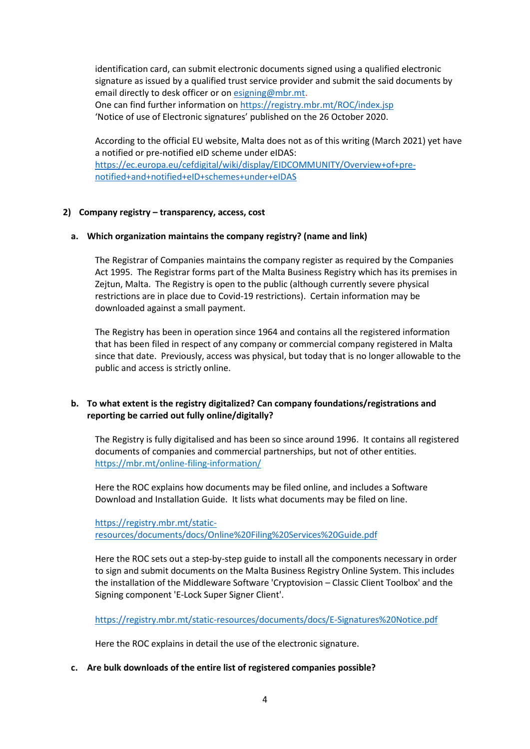identification card, can submit electronic documents signed using a qualified electronic signature as issued by a qualified trust service provider and submit the said documents by email directly to desk officer or o[n esigning@mbr.mt.](mailto:esigning@mbr.mt) One can find further information on <https://registry.mbr.mt/ROC/index.jsp> 'Notice of use of Electronic signatures' published on the 26 October 2020.

According to the official EU website, Malta does not as of this writing (March 2021) yet have a notified or pre-notified eID scheme under eIDAS: [https://ec.europa.eu/cefdigital/wiki/display/EIDCOMMUNITY/Overview+of+pre](https://ec.europa.eu/cefdigital/wiki/display/EIDCOMMUNITY/Overview+of+pre-notified+and+notified+eID+schemes+under+eIDAS)[notified+and+notified+eID+schemes+under+eIDAS](https://ec.europa.eu/cefdigital/wiki/display/EIDCOMMUNITY/Overview+of+pre-notified+and+notified+eID+schemes+under+eIDAS)

#### **2) Company registry – transparency, access, cost**

## **a. Which organization maintains the company registry? (name and link)**

The Registrar of Companies maintains the company register as required by the Companies Act 1995. The Registrar forms part of the Malta Business Registry which has its premises in Zejtun, Malta. The Registry is open to the public (although currently severe physical restrictions are in place due to Covid-19 restrictions). Certain information may be downloaded against a small payment.

The Registry has been in operation since 1964 and contains all the registered information that has been filed in respect of any company or commercial company registered in Malta since that date. Previously, access was physical, but today that is no longer allowable to the public and access is strictly online.

## **b. To what extent is the registry digitalized? Can company foundations/registrations and reporting be carried out fully online/digitally?**

The Registry is fully digitalised and has been so since around 1996. It contains all registered documents of companies and commercial partnerships, but not of other entities. <https://mbr.mt/online-filing-information/>

Here the ROC explains how documents may be filed online, and includes a Software Download and Installation Guide. It lists what documents may be filed on line.

[https://registry.mbr.mt/static](https://registry.mbr.mt/static-resources/documents/docs/Online%20Filing%20Services%20Guide.pdf)[resources/documents/docs/Online%20Filing%20Services%20Guide.pdf](https://registry.mbr.mt/static-resources/documents/docs/Online%20Filing%20Services%20Guide.pdf)

Here the ROC sets out a step-by-step guide to install all the components necessary in order to sign and submit documents on the Malta Business Registry Online System. This includes the installation of the Middleware Software 'Cryptovision – Classic Client Toolbox' and the Signing component 'E-Lock Super Signer Client'.

<https://registry.mbr.mt/static-resources/documents/docs/E-Signatures%20Notice.pdf>

Here the ROC explains in detail the use of the electronic signature.

#### **c. Are bulk downloads of the entire list of registered companies possible?**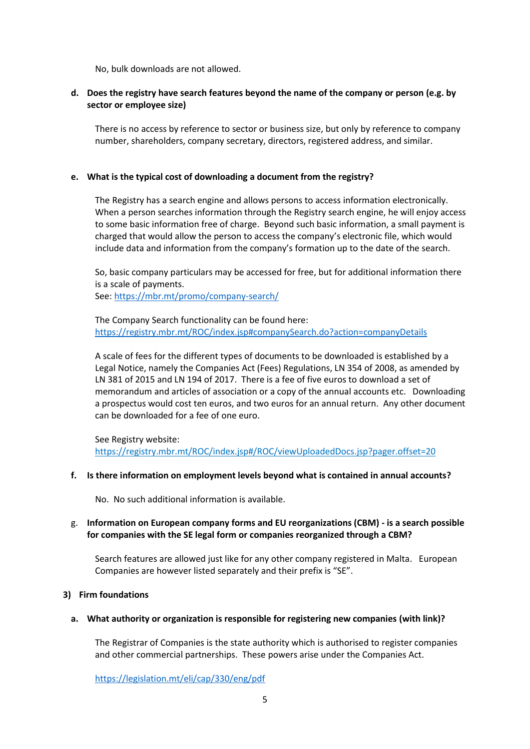No, bulk downloads are not allowed.

## **d. Does the registry have search features beyond the name of the company or person (e.g. by sector or employee size)**

There is no access by reference to sector or business size, but only by reference to company number, shareholders, company secretary, directors, registered address, and similar.

#### **e. What is the typical cost of downloading a document from the registry?**

The Registry has a search engine and allows persons to access information electronically. When a person searches information through the Registry search engine, he will enjoy access to some basic information free of charge. Beyond such basic information, a small payment is charged that would allow the person to access the company's electronic file, which would include data and information from the company's formation up to the date of the search.

So, basic company particulars may be accessed for free, but for additional information there is a scale of payments. See:<https://mbr.mt/promo/company-search/>

The Company Search functionality can be found here: <https://registry.mbr.mt/ROC/index.jsp#companySearch.do?action=companyDetails>

A scale of fees for the different types of documents to be downloaded is established by a Legal Notice, namely the Companies Act (Fees) Regulations, LN 354 of 2008, as amended by LN 381 of 2015 and LN 194 of 2017. There is a fee of five euros to download a set of memorandum and articles of association or a copy of the annual accounts etc. Downloading a prospectus would cost ten euros, and two euros for an annual return. Any other document can be downloaded for a fee of one euro.

See Registry website: https://registry.mbr.mt/ROC/index.jsp#/ROC/viewUploadedDocs.jsp?pager.offset=20

#### **f. Is there information on employment levels beyond what is contained in annual accounts?**

No. No such additional information is available.

## g. **Information on European company forms and EU reorganizations (CBM) - is a search possible for companies with the SE legal form or companies reorganized through a CBM?**

Search features are allowed just like for any other company registered in Malta. European Companies are however listed separately and their prefix is "SE".

#### **3) Firm foundations**

#### **a. What authority or organization is responsible for registering new companies (with link)?**

The Registrar of Companies is the state authority which is authorised to register companies and other commercial partnerships. These powers arise under the Companies Act.

<https://legislation.mt/eli/cap/330/eng/pdf>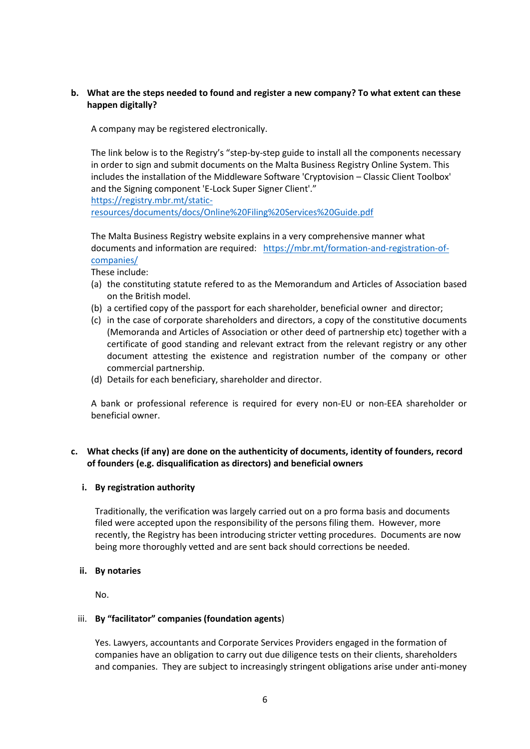## **b. What are the steps needed to found and register a new company? To what extent can these happen digitally?**

A company may be registered electronically.

The link below is to the Registry's "step-by-step guide to install all the components necessary in order to sign and submit documents on the Malta Business Registry Online System. This includes the installation of the Middleware Software 'Cryptovision – Classic Client Toolbox' and the Signing component 'E-Lock Super Signer Client'." [https://registry.mbr.mt/static-](https://registry.mbr.mt/static-resources/documents/docs/Online%20Filing%20Services%20Guide.pdf)

[resources/documents/docs/Online%20Filing%20Services%20Guide.pdf](https://registry.mbr.mt/static-resources/documents/docs/Online%20Filing%20Services%20Guide.pdf)

The Malta Business Registry website explains in a very comprehensive manner what documents and information are required: [https://mbr.mt/formation-and-registration-of](https://mbr.mt/formation-and-registration-of-companies/)[companies/](https://mbr.mt/formation-and-registration-of-companies/)

These include:

- (a) the constituting statute refered to as the Memorandum and Articles of Association based on the British model.
- (b) a certified copy of the passport for each shareholder, beneficial owner and director;
- (c) in the case of corporate shareholders and directors, a copy of the constitutive documents (Memoranda and Articles of Association or other deed of partnership etc) together with a certificate of good standing and relevant extract from the relevant registry or any other document attesting the existence and registration number of the company or other commercial partnership.
- (d) Details for each beneficiary, shareholder and director.

A bank or professional reference is required for every non-EU or non-EEA shareholder or beneficial owner.

## **c. What checks (if any) are done on the authenticity of documents, identity of founders, record of founders (e.g. disqualification as directors) and beneficial owners**

## **i. By registration authority**

Traditionally, the verification was largely carried out on a pro forma basis and documents filed were accepted upon the responsibility of the persons filing them. However, more recently, the Registry has been introducing stricter vetting procedures. Documents are now being more thoroughly vetted and are sent back should corrections be needed.

#### **ii. By notaries**

No.

#### iii. **By "facilitator" companies (foundation agents**)

Yes. Lawyers, accountants and Corporate Services Providers engaged in the formation of companies have an obligation to carry out due diligence tests on their clients, shareholders and companies. They are subject to increasingly stringent obligations arise under anti-money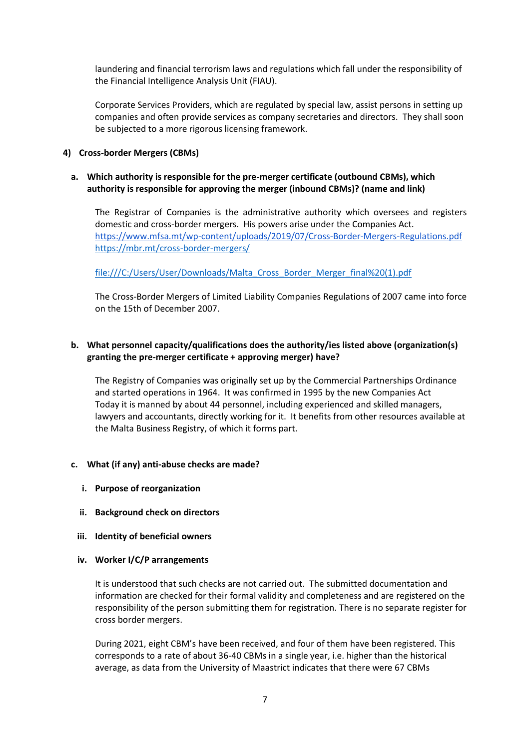laundering and financial terrorism laws and regulations which fall under the responsibility of the Financial Intelligence Analysis Unit (FIAU).

Corporate Services Providers, which are regulated by special law, assist persons in setting up companies and often provide services as company secretaries and directors. They shall soon be subjected to a more rigorous licensing framework.

## **4) Cross-border Mergers (CBMs)**

#### **a. Which authority is responsible for the pre-merger certificate (outbound CBMs), which authority is responsible for approving the merger (inbound CBMs)? (name and link)**

The Registrar of Companies is the administrative authority which oversees and registers domestic and cross-border mergers. His powers arise under the Companies Act. <https://www.mfsa.mt/wp-content/uploads/2019/07/Cross-Border-Mergers-Regulations.pdf> <https://mbr.mt/cross-border-mergers/>

[file:///C:/Users/User/Downloads/Malta\\_Cross\\_Border\\_Merger\\_final%20\(1\).pdf](file:///C:/Users/User/Downloads/Malta_Cross_Border_Merger_final%20(1).pdf)

The Cross-Border Mergers of Limited Liability Companies Regulations of 2007 came into force on the 15th of December 2007.

## **b. What personnel capacity/qualifications does the authority/ies listed above (organization(s) granting the pre-merger certificate + approving merger) have?**

The Registry of Companies was originally set up by the Commercial Partnerships Ordinance and started operations in 1964. It was confirmed in 1995 by the new Companies Act Today it is manned by about 44 personnel, including experienced and skilled managers, lawyers and accountants, directly working for it. It benefits from other resources available at the Malta Business Registry, of which it forms part.

#### **c. What (if any) anti-abuse checks are made?**

- **i. Purpose of reorganization**
- **ii. Background check on directors**
- **iii. Identity of beneficial owners**
- **iv. Worker I/C/P arrangements**

It is understood that such checks are not carried out. The submitted documentation and information are checked for their formal validity and completeness and are registered on the responsibility of the person submitting them for registration. There is no separate register for cross border mergers.

During 2021, eight CBM's have been received, and four of them have been registered. This corresponds to a rate of about 36-40 CBMs in a single year, i.e. higher than the historical average, as data from the University of Maastrict indicates that there were 67 CBMs